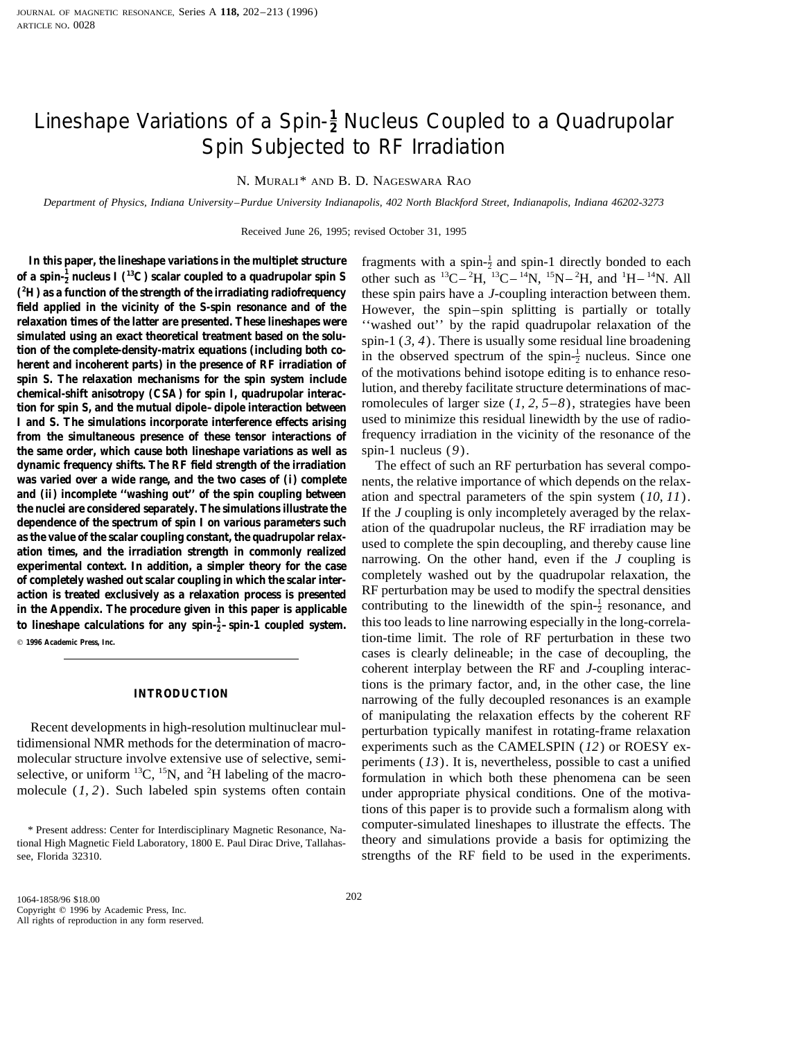# Lineshape Variations of a Spin-**<sup>1</sup> <sup>2</sup>** Nucleus Coupled to a Quadrupolar Spin Subjected to RF Irradiation

N. MURALI\* AND B. D. NAGESWARA RAO

*Department of Physics, Indiana University–Purdue University Indianapolis, 402 North Blackford Street, Indianapolis, Indiana 46202-3273*

Received June 26, 1995; revised October 31, 1995

In this paper, the lineshape variations in the multiplet structure **of a spin-** $\frac{1}{2}$  nucleus I (<sup>13</sup>C) scalar coupled to a quadrupolar spin S other such as  ${}^{13}C-{}^{2}$ <sup>2</sup>H) as a function of the strength of the irradiating radiofrequency (<sup>2</sup>H) as a function of the strength of the irradiating radiofrequency these spin pairs have a *J*-coupling interaction between them.<br> **field applied in the vicinity of the S-spin resonance and of the** However, the spin–sp **field applied in the vicinity of the S-spin resonance and of the** However, the spin–spin splitting is partially or totally relaxation times of the latter are presented. These lineshapes were *seconded* out'' by the rapid relaxation times of the latter are presented. These lineshapes were<br>simulated using an exact theoretical treatment based on the solu-<br>tion of the complete-density-matrix equations (including both co-<br>herent and incoherent Figure 1.1 and S. The simulations incorporate interference effects arising<br>
Lead to minimize this residual linewidth by the use of radio-<br>
I and S. The simulations incorporate interference effects arising<br>
Lead to minimiz **from the simultaneous presence of these tensor interactions of** frequency irradiation in the vicinity of the resonance of the **the same order, which cause both lineshape variations as well as** spin-1 nucleus (*9*). **dynamic frequency shifts. The RF field strength of the irradiation** The effect of such an RF perturbation has several compo**was varied over a wide range, and the two cases of (i) complete** nents, the relative importance of which depends on the relax-<br>and (ii) incomplete "washing out" of the spin coupling between ation and spectral parameters o **and (ii) incomplete ''washing out'' of the spin coupling between** ation and spectral parameters of the spin system (*10, 11*).<br>**the nuclei are considered separately. The simulations illustrate the** If the Logupling is onl the nuclei are considered separately. The simulations illustrate the<br>dependence of the spectrum of spin I on various parameters such<br>as the value of the scalar coupling constant, the quadrupolar relax-<br>ation of the quadru action is treated exclusively as a relaxation process is presented<br>in the Appendix. The procedure given in this paper is applicable<br>to lineshane calculations for any spin- $\frac{1}{2}$ -spin-1 coupled system<br>this too leads to l to lineshape calculations for any spin- $\frac{1}{2}$ -spin-1 coupled system. this too leads to line narrowing especially in the long-correla<sup>q</sup> **1996 Academic Press, Inc.** tion-time limit. The role of RF perturbation in these two

tidimensional NMR methods for the determination of macro-<br>molecular structure involve extensive use of selective, semi-<br>periments (13). It is nevertheless, possible to cast a unified selective, or uniform  ${}^{13}C$ ,  ${}^{15}N$ , and  ${}^{2}H$  labeling of the macro-

fragments with a spin- $\frac{1}{2}$  and spin-1 directly bonded to each H,  ${}^{13}C-{}^{14}N$ ,  ${}^{15}N-{}^{2}H$ , and  ${}^{1}H-{}^{14}N$ . All

cases is clearly delineable; in the case of decoupling, the coherent interplay between the RF and *J*-coupling interac-**INTRODUCTION** is the primary factor, and, in the other case, the line narrowing of the fully decoupled resonances is an example of manipulating the relaxation effects by the coherent RF<br>Recent developments in high-resolution multinuclear mul-<br>tidimensional NMR methods for the determination of macro-<br>experiments such as the CAMEI SPIN (12) or POESY periments  $(13)$ . It is, nevertheless, possible to cast a unified formulation in which both these phenomena can be seen molecule (*1, 2*). Such labeled spin systems often contain under appropriate physical conditions. One of the motivations of this paper is to provide such a formalism along with \* Present address: Center for Interdisciplinary Magnetic Resonance, Na-<br>
computer-simulated lineshapes to illustrate the effects. The tional High Magnetic Field Laboratory, 1800 E. Paul Dirac Drive, Tallahas- theory and simulations provide a basis for optimizing the see, Florida 32310. strengths of the RF field to be used in the experiments.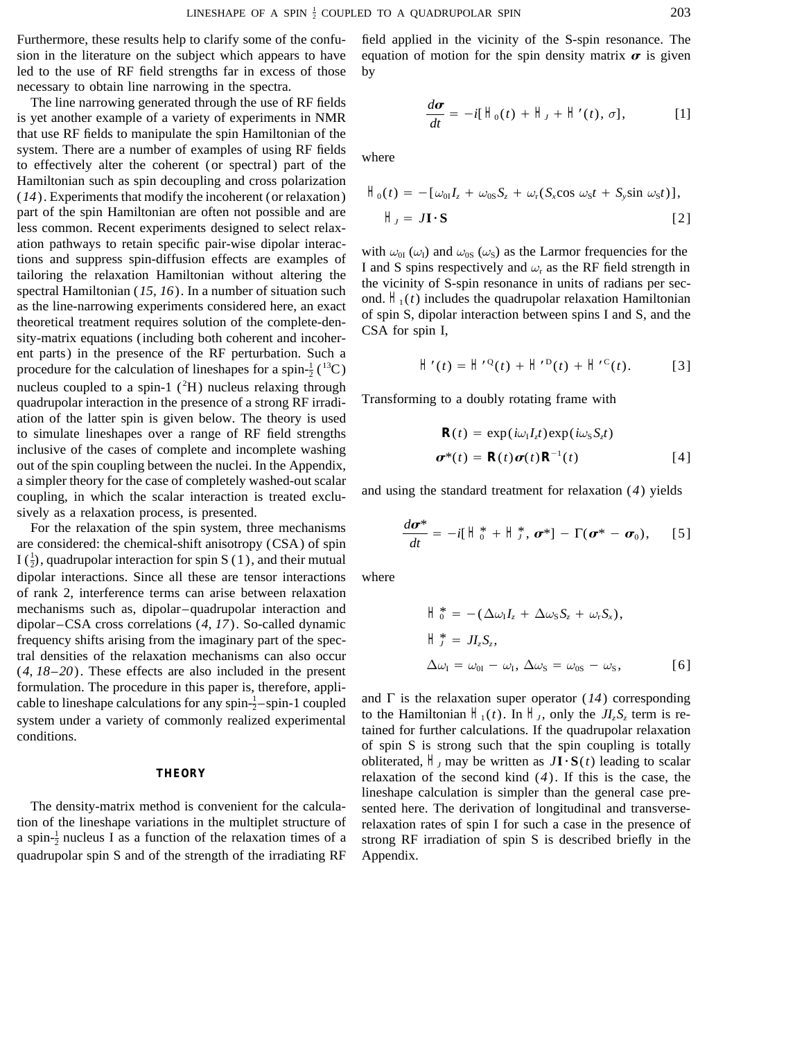led to the use of RF field strengths far in excess of those by necessary to obtain line narrowing in the spectra.

The line narrowing generated through the use of RF fields *is* yet another example of a variety of experiments in NMR that use RF fields to manipulate the spin Hamiltonian of the system. There are a number of examples of using RF fields to effectively alter the coherent (or spectral) part of the Hamiltonian such as spin decoupling and cross polarization  $(14)$ . Experiments that modify the incoherent (or relaxation) part of the spin Hamiltonian are often not possible and are *less* common. Recent experiments designed to select relaxation pathways to retain specific pair-wise dipolar interac-<br>tions and suppress spin-diffusion effects are examples of<br>tailoring the relaxation Hamiltonian without altering the<br>spectral Hamiltonian (15, 16). In a number o ent parts) in the presence of the RF perturbation. Such a  $H'(t) = H^{(0)}(t) + H^{(0)}(t) + H^{(0)}(t)$ . [3] procedure for the calculation of lineshapes for a spin- $\frac{1}{2}$ (<sup>13</sup>C) nucleus coupled to a spin-1  $(^{2}H)$  nucleus relaxing through quadrupolar interaction in the presence of a strong RF irradi- Transforming to a doubly rotating frame with ation of the latter spin is given below. The theory is used to simulate lineshapes over a range of RF field strengths inclusive of the cases of complete and incomplete washing out of the spin coupling between the nuclei. In the Appendix, a simpler theory for the case of completely washed-out scalar<br>coupling, in which the scalar interaction is treated exclu-<br>and using the standard treatment for relaxation (4) yields sively as a relaxation process, is presented.

For the relaxation of the spin system, three mechanisms *deta* are considered: the chemical-shift anisotropy (CSA) of spin I  $(\frac{1}{2})$ , quadrupolar interaction for spin S (1), and their mutual dipolar interactions. Since all these are tensor interactions where of rank 2, interference terms can arise between relaxation mechanisms such as, dipolar–quadrupolar interaction and dipolar–CSA cross correlations (*4, 17*). So-called dynamic frequency shifts arising from the imaginary part of the spectral densities of the relaxation mechanisms can also occur  $(4, 18-20)$ . These effects are also included in the present formulation. The procedure in this paper is, therefore, appli-<br>cable to lineshape calculations for any spin- $\frac{1}{2}$ -spin-1 coupled and  $\Gamma$  is the relaxation super operator (14) corresponding system under a variety of commonly realized experimental<br>conditionian  $H_1(t)$ . In  $H_1$ , only the  $JI_zS_z$  term is reconditions.

The density-matrix method is convenient for the calcula-<br>tion of the lineshape variations in the multiplet structure of relaxation rates of spin I for such a case in the presence of a spin- $\frac{1}{2}$  nucleus I as a function of the relaxation times of a quadrupolar spin S and of the strength of the irradiating RF Appendix.

Furthermore, these results help to clarify some of the confu- field applied in the vicinity of the S-spin resonance. The sion in the literature on the subject which appears to have equation of motion for the spin density matrix  $\sigma$  is given

$$
\frac{d\boldsymbol{\sigma}}{dt} = -i[\;H_0(t) + H_J + H'(t),\sigma], \qquad [1]
$$

$$
\begin{aligned} H_0(t) &= -\left[\omega_{0I}I_z + \omega_{0S}S_z + \omega_r(S_x\cos\,\omega_S t + S_y\sin\,\omega_S t)\right], \\ H_t &= J\mathbf{I} \cdot \mathbf{S} \end{aligned} \tag{2}
$$

$$
H'(t) = H'^{\mathbb{Q}}(t) + H'^{\mathbb{D}}(t) + H'^{\mathbb{C}}(t).
$$
 [3]

$$
R(t) = \exp(i\omega_{I}I_{z}t)\exp(i\omega_{S}S_{z}t)
$$
  

$$
\boldsymbol{\sigma}^{*}(t) = R(t)\boldsymbol{\sigma}(t)R^{-1}(t)
$$
 [4]

$$
\frac{d\boldsymbol{\sigma}^*}{dt} = -i[\;H_0^* + H_J^*,\;\boldsymbol{\sigma}^*] - \Gamma(\boldsymbol{\sigma}^* - \boldsymbol{\sigma}_0),\quad [5]
$$

$$
\begin{aligned}\n\Box^*_{0} &= -(\Delta \omega_{\rm I} I_z + \Delta \omega_{\rm S} S_z + \omega_{\rm r} S_x), \\
\Box^*_{J} &= J I_z S_z, \\
\Delta \omega_{\rm I} &= \omega_{0\rm I} - \omega_{\rm I}, \Delta \omega_{\rm S} = \omega_{0\rm S} - \omega_{\rm S},\n\end{aligned}
$$
 [6]

of spin S is strong such that the spin coupling is totally obliterated,  $H_J$  may be written as  $J\mathbf{I} \cdot \mathbf{S}(t)$  leading to scalar **THEORY** relaxation of the second kind (*4*). If this is the case, the lineshape calculation is simpler than the general case prerelaxation rates of spin I for such a case in the presence of strong RF irradiation of spin S is described briefly in the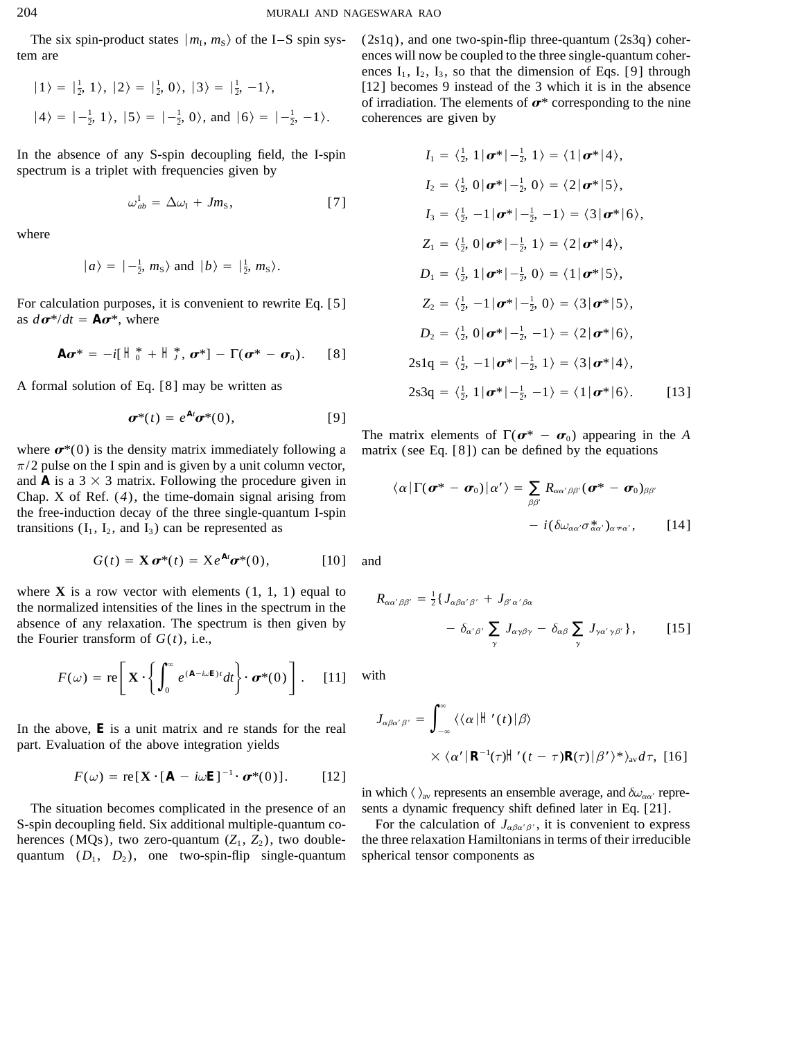The six spin-product states  $|m_1, m_5\rangle$  of the I-S spin system are

$$
|1\rangle = |\frac{1}{2}, 1\rangle, |2\rangle = |\frac{1}{2}, 0\rangle, |3\rangle = |\frac{1}{2}, -1\rangle,
$$
  
 $|4\rangle = |-\frac{1}{2}, 1\rangle, |5\rangle = |-\frac{1}{2}, 0\rangle, \text{ and } |6\rangle = |-\frac{1}{2}, -1\rangle.$ 

In the absence of any S-spin decoupling field, the I-spin spectrum is a triplet with frequencies given by

$$
\omega_{ab}^{\mathrm{I}} = \Delta \omega_{\mathrm{I}} + J m_{\mathrm{S}}, \tag{7}
$$

where

$$
|a\rangle = \left|-\frac{1}{2}, m_{\rm s}\right\rangle
$$
 and  $|b\rangle = \left|\frac{1}{2}, m_{\rm s}\right\rangle$ .

For calculation purposes, it is convenient to rewrite Eq. [5] as  $d\boldsymbol{\sigma}^*/dt = A\boldsymbol{\sigma}^*$ , where

$$
A\boldsymbol{\sigma}^* = -i[A_0^* + H_J^*, \boldsymbol{\sigma}^*] - \Gamma(\boldsymbol{\sigma}^* - \boldsymbol{\sigma}_0). \qquad [8]
$$

A formal solution of Eq. [8] may be written as

$$
\boldsymbol{\sigma}^*(t) = e^{At}\boldsymbol{\sigma}^*(0), \qquad [9]
$$

where  $\sigma^*(0)$  is the density matrix immediately following a  $\pi/2$  pulse on the I spin and is given by a unit column vector, and A is a  $3 \times 3$  matrix. Following the procedure given in Chap. X of Ref.  $(4)$ , the time-domain signal arising from the free-induction decay of the three single-quantum I-spin transitions  $(I_1, I_2,$  and  $I_3)$  can be represented as

$$
G(t) = \mathbf{X} \boldsymbol{\sigma}^*(t) = X e^{At} \boldsymbol{\sigma}^*(0), \qquad [10]
$$

where  $X$  is a row vector with elements  $(1, 1, 1)$  equal to the normalized intensities of the lines in the spectrum in the absence of any relaxation. The spectrum is then given by the Fourier transform of  $G(t)$ , i.e.,

$$
F(\omega) = \text{re}\bigg[\mathbf{X} \cdot \bigg\{ \int_0^{\infty} e^{(A - i\omega E)t} dt \bigg\} \cdot \boldsymbol{\sigma}^*(0) \bigg]. \quad [11]
$$

In the above,  $E$  is a unit matrix and re stands for the real part. Evaluation of the above integration yields

$$
F(\omega) = \text{re}[\mathbf{X} \cdot [A - i\omega E]^{-1} \cdot \boldsymbol{\sigma}^*(0)]. \qquad [12]
$$

The situation becomes complicated in the presence of an S-spin decoupling field. Six additional multiple-quantum coherences (MQs), two zero-quantum  $(Z_1, Z_2)$ , two doublequantum  $(D_1, D_2)$ , one two-spin-flip single-quantum  $(2s1q)$ , and one two-spin-flip three-quantum  $(2s3q)$  coherences will now be coupled to the three single-quantum coherences  $I_1$ ,  $I_2$ ,  $I_3$ , so that the dimension of Eqs. [9] through [12] becomes 9 instead of the 3 which it is in the absence of irradiation. The elements of  $\sigma^*$  corresponding to the nine coherences are given by

$$
I_1 = \langle \frac{1}{2}, 1 | \sigma^* | -\frac{1}{2}, 1 \rangle = \langle 1 | \sigma^* | 4 \rangle,
$$
  
\n
$$
I_2 = \langle \frac{1}{2}, 0 | \sigma^* | -\frac{1}{2}, 0 \rangle = \langle 2 | \sigma^* | 5 \rangle,
$$
  
\n
$$
I_3 = \langle \frac{1}{2}, -1 | \sigma^* | -\frac{1}{2}, -1 \rangle = \langle 3 | \sigma^* | 6 \rangle,
$$
  
\n
$$
Z_1 = \langle \frac{1}{2}, 0 | \sigma^* | -\frac{1}{2}, 1 \rangle = \langle 2 | \sigma^* | 4 \rangle,
$$
  
\n
$$
D_1 = \langle \frac{1}{2}, 1 | \sigma^* | -\frac{1}{2}, 0 \rangle = \langle 1 | \sigma^* | 5 \rangle,
$$
  
\n
$$
Z_2 = \langle \frac{1}{2}, -1 | \sigma^* | -\frac{1}{2}, 0 \rangle = \langle 3 | \sigma^* | 5 \rangle,
$$
  
\n
$$
D_2 = \langle \frac{1}{2}, 0 | \sigma^* | -\frac{1}{2}, -1 \rangle = \langle 2 | \sigma^* | 6 \rangle,
$$
  
\n
$$
2s1q = \langle \frac{1}{2}, -1 | \sigma^* | -\frac{1}{2}, 1 \rangle = \langle 3 | \sigma^* | 4 \rangle,
$$
  
\n
$$
2s3q = \langle \frac{1}{2}, 1 | \sigma^* | -\frac{1}{2}, -1 \rangle = \langle 1 | \sigma^* | 6 \rangle.
$$
 [13]

The matrix elements of  $\Gamma(\sigma^* - \sigma_0)$  appearing in the A matrix (see Eq.  $[8]$ ) can be defined by the equations

$$
\langle \alpha | \Gamma(\boldsymbol{\sigma}^* - \boldsymbol{\sigma}_0) | \alpha' \rangle = \sum_{\beta \beta'} R_{\alpha \alpha' \beta \beta'} (\boldsymbol{\sigma}^* - \boldsymbol{\sigma}_0)_{\beta \beta'}
$$

$$
- i (\delta \omega_{\alpha \alpha'} \sigma_{\alpha \alpha'}^* )_{\alpha \neq \alpha'}, \qquad [14]
$$

and

$$
R_{\alpha\alpha'\beta\beta'} = \frac{1}{2} \{ J_{\alpha\beta\alpha'\beta'} + J_{\beta'\alpha'\beta\alpha} - \delta_{\alpha'\beta'} \sum_{\gamma} J_{\alpha\gamma\beta\gamma} - \delta_{\alpha\beta} \sum_{\gamma} J_{\gamma\alpha'\gamma\beta'} \}, \qquad [15]
$$

with

$$
J_{\alpha\beta\alpha'\beta'} = \int_{-\infty}^{\infty} \langle \langle \alpha | H'(t) | \beta \rangle
$$
  
 
$$
\times \langle \alpha' | R^{-1}(\tau) | H'(t - \tau) R(\tau) | \beta' \rangle^* \rangle_{\text{av}} d\tau, [16]
$$

in which  $\langle \ \rangle_{av}$  represents an ensemble average, and  $\delta \omega_{\alpha \alpha'}$  represents a dynamic frequency shift defined later in Eq. [21].

For the calculation of  $J_{\alpha\beta\alpha'\beta'}$ , it is convenient to express the three relaxation Hamiltonians in terms of their irreducible spherical tensor components as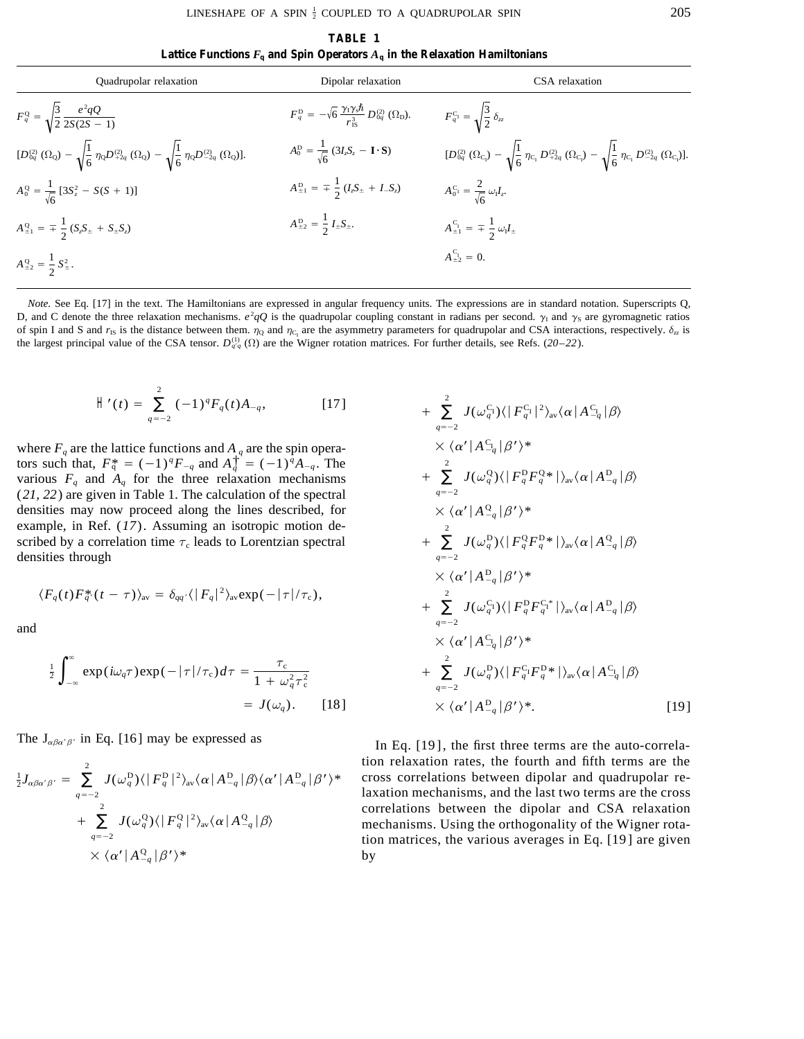**TABLE 1** Lattice Functions  $F_q$  and Spin Operators  $A_q$  in the Relaxation Hamiltonians

| Quadrupolar relaxation                                                                                                                                                                           | Dipolar relaxation                                                                                                             | CSA relaxation                                                                                                                                                                                                   |
|--------------------------------------------------------------------------------------------------------------------------------------------------------------------------------------------------|--------------------------------------------------------------------------------------------------------------------------------|------------------------------------------------------------------------------------------------------------------------------------------------------------------------------------------------------------------|
| $F_q^Q = \sqrt{\frac{3}{2} \frac{e^2 qQ}{2S(2S-1)}}$                                                                                                                                             | $F_{q}^{\rm D} = -\sqrt{6} \, \frac{\gamma_{\rm I} \gamma_{\rm s} \hbar}{r_{\rm re}^{3}} \, D_{0q}^{(2)} \, (\Omega_{\rm D}).$ | $F_{q}^{C_1} = \sqrt{\frac{3}{2}} \delta_{zz}$                                                                                                                                                                   |
| $[D_{0q}^{(2)}\left(\Omega_{\mathrm{Q}}\right)-\sqrt{\frac{1}{6}~\eta_{\mathrm{Q}}D_{+2q}^{(2)}}~(\Omega_{\mathrm{Q}})-\sqrt{\frac{1}{6}~\eta_{\mathrm{Q}}D_{-2q}^{(2)}~(\Omega_{\mathrm{Q}})}.$ | $A_0^{\rm D} = \frac{1}{\sqrt{6}} (3I_zS_z - \mathbf{I} \cdot \mathbf{S})$                                                     | $[D_{0q}^{(2)}(\Omega_{\mathrm{C}_l})\,-\,\sqrt{\frac{1}{6}}\,\eta_{\mathrm{C}_l}\,D_{+2q}^{(2)}\,(\Omega_{\mathrm{C}_l})\,-\,\sqrt{\frac{1}{6}}\,\eta_{\mathrm{C}_l}\,D_{-2q}^{(2)}\,(\Omega_{\mathrm{C}_l})].$ |
| $A_0^Q = \frac{1}{\sqrt{6}} [3S_z^2 - S(S+1)]$                                                                                                                                                   | $A_{\pm 1}^{\text{D}} = \pm \frac{1}{2} (I_z S_{\pm} + I_z S_z)$                                                               | $A_0^{C_1} = \frac{2}{\sqrt{6}} \omega_1 I_z.$                                                                                                                                                                   |
| $A_{\pm 1}^{\rm Q} = \pm \frac{1}{2} (S_z S_{\pm} + S_{\pm} S_z)$                                                                                                                                | $A_{\pm 2}^{\rm D} = \frac{1}{2} I_{\pm} S_{\pm}.$                                                                             | $A_{\pm 1}^{C_1} = \pm \frac{1}{2} \omega_1 I_{\pm}$                                                                                                                                                             |
| $A_{\pm 2}^{\rm Q} = \frac{1}{2} S_{\pm}^2$ .                                                                                                                                                    |                                                                                                                                | $A_{\pm 2}^{C_1} = 0.$                                                                                                                                                                                           |

*Note.* See Eq. [17] in the text. The Hamiltonians are expressed in angular frequency units. The expressions are in standard notation. Superscripts Q, D, and C denote the three relaxation mechanisms.  $e^2qQ$  is the quadrupolar coupling constant in radians per second.  $\gamma_1$  and  $\gamma_5$  are gyromagnetic ratios of spin I and S and  $r_{1S}$  is the distance between them.  $\eta_Q$  and  $\eta_{C_1}$  are the asymmetry parameters for quadrupolar and CSA interactions, respectively.  $\delta_{zz}$  is the largest principal value of the CSA tensor.  $D_{q\bar{q}}^{(1)}$  ( $\Omega$ ) are the Wigner rotation matrices. For further details, see Refs. (20–22).

$$
H'(t) = \sum_{q=-2}^{2} (-1)^{q} F_{q}(t) A_{-q}, \qquad [17] + \sum_{q=-2}^{2} (-1)^{q} F_{q}(t) A_{-q},
$$

where  $F_q$  are the lattice functions and  $A_q$  are the spin operators such that,  $F_q^* = (-1)^q F_{-q}$  and  $A_q^{\dagger^2} = (-1)^q A_{-q}$ . The various  $F_q$  and  $A_q$  for the three relaxation mechanisms (*21, 22*) are given in Table 1. The calculation of the spectral densities may now proceed along the lines described, for example, in Ref. (*17*). Assuming an isotropic motion described by a correlation time  $\tau_c$  leads to Lorentzian spectral densities through

$$
\langle F_q(t) F_q^*(t-\tau) \rangle_{\rm av} = \delta_{qq'} \langle |F_q|^2 \rangle_{\rm av} \exp(-|\tau|/\tau_{\rm c}),
$$

and

$$
\frac{1}{2} \int_{-\infty}^{\infty} \exp(i\omega_q \tau) \exp(-|\tau|/\tau_c) d\tau = \frac{\tau_c}{1 + \omega_q^2 \tau_c^2} + \sum_{q=-2}^{2} J(\omega_q^D)
$$

$$
= J(\omega_q). \qquad [18] \qquad \qquad \times \langle \alpha' | A^D \rangle
$$

$$
\frac{1}{2}J_{\alpha\beta\alpha'\beta'} = \sum_{q=-2}^{2} J(\omega_q^D) \langle |F_q^D|^2 \rangle_{\text{av}} \langle \alpha | A_{-q}^D | \beta \rangle \langle \alpha' | A_{-q}^D | \beta' \rangle^* \quad \text{etc.}
$$
\n
$$
+ \sum_{q=-2}^{2} J(\omega_q^Q) \langle |F_q^Q|^2 \rangle_{\text{av}} \langle \alpha | A_{-q}^Q | \beta \rangle \quad \text{etc.}
$$
\n
$$
\times \langle \alpha' | A_{-q}^Q | \beta' \rangle^* \quad \text{by}
$$

+ 
$$
\sum_{q=-2}^{2} J(\omega_q^{C_1}) \langle |F_q^{C_1}|^2 \rangle_{av} \langle \alpha | A_{-q}^{C_1} | \beta \rangle
$$
  
\n
$$
\times \langle \alpha' | A_{-q}^{C_1} | \beta' \rangle^*
$$
  
\n+ 
$$
\sum_{q=-2}^{2} J(\omega_q^{Q}) \langle |F_q^{D} F_q^{Q*} | \rangle_{av} \langle \alpha | A_{-q}^{D} | \beta \rangle
$$
  
\n
$$
\times \langle \alpha' | A_{-q}^{Q} | \beta' \rangle^*
$$
  
\n+ 
$$
\sum_{q=-2}^{2} J(\omega_q^{D}) \langle |F_q^{Q} F_q^{D*} | \rangle_{av} \langle \alpha | A_{-q}^{Q} | \beta \rangle
$$
  
\n+ 
$$
\sum_{q=-2}^{2} J(\omega_q^{C_1}) \langle |F_q^{D} F_q^{C_1*} | \rangle_{av} \langle \alpha | A_{-q}^{D} | \beta \rangle
$$
  
\n+ 
$$
\sum_{q=-2}^{2} J(\omega_q^{C_1}) \langle |F_q^{D} F_q^{C_1*} | \rangle_{av} \langle \alpha | A_{-q}^{D} | \beta \rangle
$$
  
\n+ 
$$
\sum_{q=-2}^{2} J(\omega_q^{D}) \langle |F_q^{C} F_q^{D*} | \rangle_{av} \langle \alpha | A_{-q}^{C} | \beta \rangle
$$
  
\n+ 
$$
\langle \alpha' | A_{-q}^{D} | \beta' \rangle^*
$$
 [19]

The  $J_{\alpha\beta\alpha'\beta'}$  in Eq. [16] may be expressed as In Eq. [19], the first three terms are the auto-correlation relaxation rates, the fourth and fifth terms are the cross correlations between dipolar and quadrupolar re- <sup>1</sup> laxation mechanisms, and the last two terms are the cross correlations between the dipolar and CSA relaxation mechanisms. Using the orthogonality of the Wigner rotation matrices, the various averages in Eq. [19] are given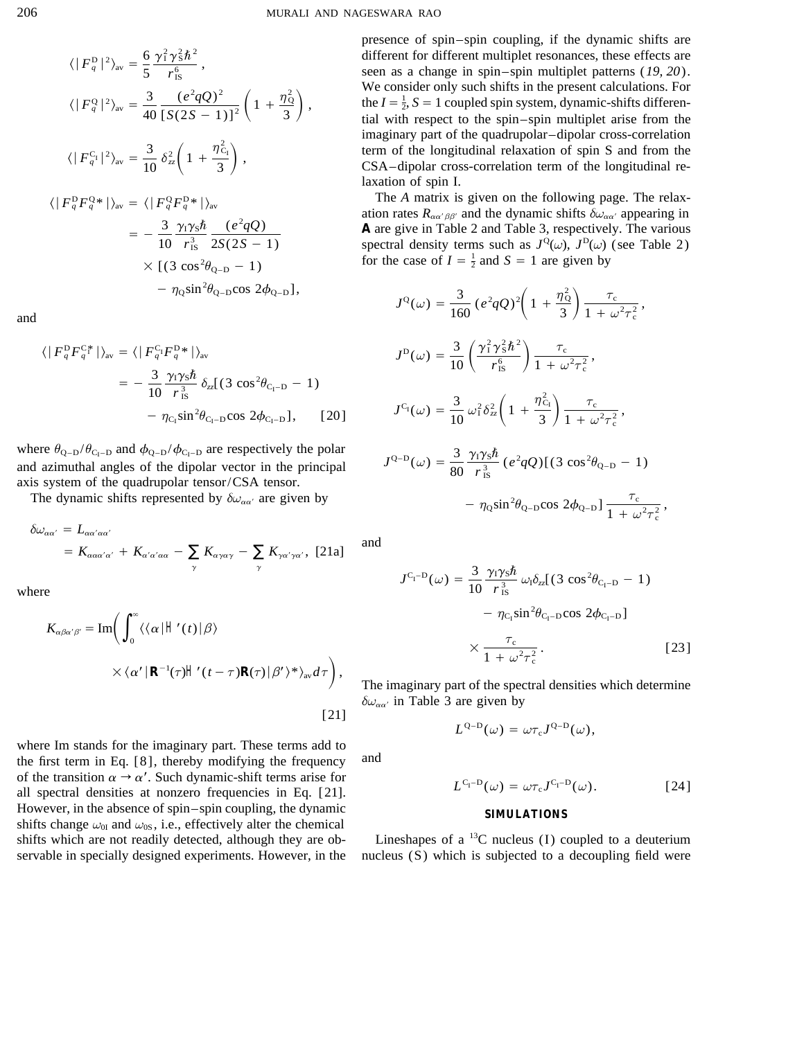$$
\langle |F_q^{\rm D}|^2 \rangle_{\rm av} = \frac{6}{5} \frac{\gamma_1^2 \gamma_5^2 \hbar^2}{r_{\rm IS}^6},
$$
  

$$
\langle |F_q^{\rm Q}|^2 \rangle_{\rm av} = \frac{3}{40} \frac{(e^2 q Q)^2}{[S(2S-1)]^2} \left(1 + \frac{\eta_0^2}{3}\right),
$$
  

$$
\langle |F_q^{\rm C_1}|^2 \rangle_{\rm av} = \frac{3}{10} \delta_{zz}^2 \left(1 + \frac{\eta_{\rm C_1}^2}{3}\right),
$$
  

$$
\langle |F_q^{\rm D} F_q^{\rm Q*}| \rangle_{\rm av} = \langle |F_q^{\rm Q} F_q^{\rm D*}| \rangle_{\rm av}
$$
  

$$
= -\frac{3}{10} \frac{\gamma_1 \gamma_5 \hbar}{r_{\rm IS}^3} \frac{(e^2 q Q)}{2S(2S-1)}
$$
  

$$
\times [(3 \cos^2 \theta_{\rm Q-D} - 1)] - \eta_0 \sin^2 \theta_{\rm Q-D} \cos 2\phi_{\rm Q-D}],
$$

and

$$
\langle |F_q^{\rm D} F_q^{\rm C} |^* \rangle_{\rm av} = \langle |F_q^{\rm C} F_q^{\rm D} * | \rangle_{\rm av}
$$
  
= 
$$
- \frac{3}{10} \frac{\gamma_1 \gamma_5 \hbar}{r_{\rm B}^3} \delta_{zz} [(3 \cos^2 \theta_{\rm C_1-D} - 1)
$$
  

$$
- \eta_{\rm C_1} \sin^2 \theta_{\rm C_1-D} \cos 2\phi_{\rm C_1-D} ], \qquad [20]
$$

where  $\theta_{Q-D}/\theta_{C_I-D}$  and  $\phi_{Q-D}/\phi_{C_I-D}$  are respectively the polar and azimuthal angles of the dipolar vector in the principal axis system of the quadrupolar tensor/CSA tensor.

The dynamic shifts represented by  $\delta\omega_{\alpha\alpha'}$  are given by

$$
\delta\omega_{\alpha\alpha'} = L_{\alpha\alpha'\alpha\alpha'}
$$
  
=  $K_{\alpha\alpha\alpha'\alpha'}$  +  $K_{\alpha'\alpha'\alpha\alpha}$  -  $\sum_{\gamma} K_{\alpha\gamma\alpha\gamma}$  -  $\sum_{\gamma} K_{\gamma\alpha'\gamma\alpha'}$ , [21a]

where

$$
K_{\alpha\beta\alpha'\beta'} = \text{Im}\bigg(\int_0^\infty \langle\langle\alpha|\left|\cdot\right|'(t)|\beta\rangle\right)
$$

$$
\times \langle\alpha'|\left|\mathsf{R}^{-1}(\tau)\right|'(t-\tau)\mathsf{R}(\tau)|\beta'\rangle^*\rangle_{\text{av}}d\tau\bigg),\tag{211}
$$

where Im stands for the imaginary part. These terms add to the first term in Eq. [8], thereby modifying the frequency of the transition  $\alpha \rightarrow \alpha'$ . Such dynamic-shift terms arise for all spectral densities at nonzero frequencies in Eq. [21]. However, in the absence of spin–spin coupling, the dynamic shifts change  $\omega_{0I}$  and  $\omega_{0S}$ , i.e., effectively alter the chemical shifts which are not readily detected, although they are observable in specially designed experiments. However, in the presence of spin-spin coupling, if the dynamic shifts are different for different multiplet resonances, these effects are seen as a change in spin–spin multiplet patterns  $(19, 20)$ . We consider only such shifts in the present calculations. For the  $I = \frac{1}{2}$ ,  $S = 1$  coupled spin system, dynamic-shifts differential with respect to the spin-spin multiplet arise from the imaginary part of the quadrupolar-dipolar cross-correlation term of the longitudinal relaxation of spin S and from the CSA-dipolar cross-correlation term of the longitudinal relaxation of spin I.

The A matrix is given on the following page. The relaxation rates  $R_{\alpha\alpha'\beta\beta'}$  and the dynamic shifts  $\delta\omega_{\alpha\alpha'}$  appearing in A are give in Table 2 and Table 3, respectively. The various spectral density terms such as  $J^{\mathbb{Q}}(\omega)$ ,  $J^{\mathbb{D}}(\omega)$  (see Table 2) for the case of  $I = \frac{1}{2}$  and  $S = 1$  are given by

$$
J^{Q}(\omega) = \frac{3}{160} (e^{2}qQ)^{2} \left(1 + \frac{\eta_{Q}^{2}}{3}\right) \frac{\tau_{c}}{1 + \omega^{2}\tau_{c}^{2}},
$$
  
\n
$$
J^{D}(\omega) = \frac{3}{10} \left(\frac{\gamma_{1}^{2}\gamma_{S}^{2}\hbar^{2}}{r_{1S}^{6}}\right) \frac{\tau_{c}}{1 + \omega^{2}\tau_{c}^{2}},
$$
  
\n
$$
J^{C_{I}}(\omega) = \frac{3}{10} \omega_{1}^{2}\delta_{zz}^{2} \left(1 + \frac{\eta_{C_{I}}^{2}}{3}\right) \frac{\tau_{c}}{1 + \omega^{2}\tau_{c}^{2}},
$$
  
\n
$$
J^{Q-D}(\omega) = \frac{3}{80} \frac{\gamma_{1}\gamma_{S}\hbar}{r_{1S}^{3}} (e^{2}qQ) [(3 \cos^{2}\theta_{Q-D} - 1)] - \eta_{Q} \sin^{2}\theta_{Q-D} \cos 2\phi_{Q-D}] \frac{\tau_{c}}{1 + \omega^{2}\tau_{c}^{2}},
$$

and

$$
J^{C_{\rm I}-D}(\omega) = \frac{3}{10} \frac{\gamma_1 \gamma_5 \hbar}{r_{\rm IS}^3} \omega_{\rm I} \delta_{zz} [(3 \cos^2 \theta_{\rm C_{\rm I}-D} - 1) - \eta_{\rm C_{\rm I}} \sin^2 \theta_{\rm C_{\rm I}-D} \cos 2\phi_{\rm C_{\rm I}-D}] \times \frac{\tau_{\rm c}}{1 + \omega^2 \tau_{\rm c}^2}.
$$
 [23]

The imaginary part of the spectral densities which determine  $\delta\omega_{\alpha\alpha'}$  in Table 3 are given by

 $L^{Q-D}(\omega) = \omega \tau_{c} J^{Q-D}(\omega),$ 

and

$$
L^{C_{\rm I}-D}(\omega) = \omega \tau_{\rm c} J^{C_{\rm I}-D}(\omega). \tag{24}
$$

## **SIMULATIONS**

Lineshapes of a  ${}^{13}C$  nucleus (I) coupled to a deuterium nucleus (S) which is subjected to a decoupling field were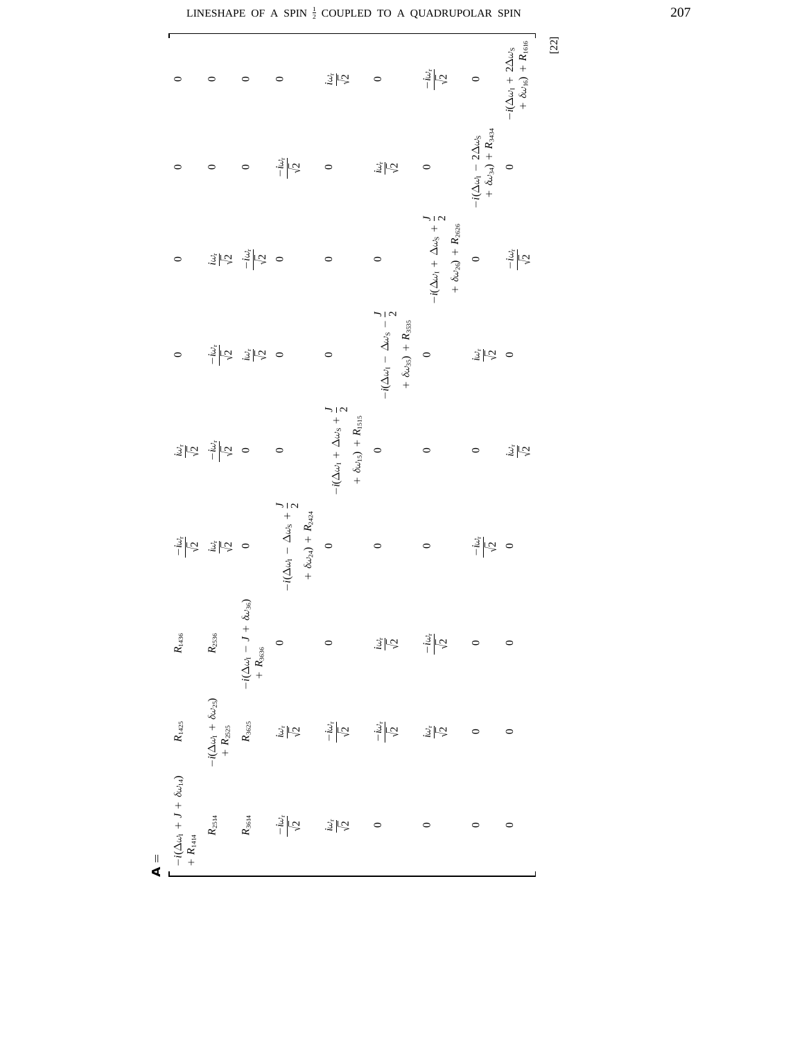| г<br>$\circ$                                                                             | $\circ$                                                                                                                                                                                                                                                                                                                                                                                                           | $\circ$                                                                                                                                                                                                                              | $\circ$                                                                                     | $\frac{1}{2} \mathcal{Q} $                                                                                 | $\circ$                                                                                     | $\frac{-i\omega_{\rm r}}{\sqrt{2}}$                                                                                                                                                                                                                                                                                                                                                                                                                                                                                                                                                                     | $\circ$                                                                                                                                         | $\begin{array}{l} -i(\Delta\omega_{1}+2\Delta\omega_{5}\\ +\delta\omega_{16})+R_{1616} \end{array}$ |
|------------------------------------------------------------------------------------------|-------------------------------------------------------------------------------------------------------------------------------------------------------------------------------------------------------------------------------------------------------------------------------------------------------------------------------------------------------------------------------------------------------------------|--------------------------------------------------------------------------------------------------------------------------------------------------------------------------------------------------------------------------------------|---------------------------------------------------------------------------------------------|------------------------------------------------------------------------------------------------------------|---------------------------------------------------------------------------------------------|---------------------------------------------------------------------------------------------------------------------------------------------------------------------------------------------------------------------------------------------------------------------------------------------------------------------------------------------------------------------------------------------------------------------------------------------------------------------------------------------------------------------------------------------------------------------------------------------------------|-------------------------------------------------------------------------------------------------------------------------------------------------|-----------------------------------------------------------------------------------------------------|
| $\circ$                                                                                  | $\circ$                                                                                                                                                                                                                                                                                                                                                                                                           | $\circ$                                                                                                                                                                                                                              | $\frac{-i\omega_{\rm r}}{\sqrt{2}}$                                                         | $\circ$                                                                                                    | $\frac{1}{2} \sqrt{2}$                                                                      | $\circ$                                                                                                                                                                                                                                                                                                                                                                                                                                                                                                                                                                                                 | $\begin{aligned} -i(\Delta\omega_\mathrm{I} \,& -2\Delta\omega_\mathrm{S} \\ & + \delta\omega_\mathrm{34}) \,+\, R_\mathrm{3434} \end{aligned}$ | $\circ$                                                                                             |
| $\circ$                                                                                  |                                                                                                                                                                                                                                                                                                                                                                                                                   | $\begin{array}{cc} \frac{1}{2} & \frac{1}{2} \\ \frac{1}{2} & \frac{1}{2} \\ \frac{1}{2} & \frac{1}{2} \end{array} \begin{array}{c} \frac{1}{2} & \frac{1}{2} \\ \frac{1}{2} & \frac{1}{2} \\ \frac{1}{2} & \frac{1}{2} \end{array}$ |                                                                                             | $\circ$                                                                                                    | $\circ$                                                                                     | $-i(\Delta\omega_{1}+\Delta\omega_{3}+\frac{\textstyle 1}{\textstyle 2}% \omega_{2}+\frac{\textstyle 1}{\textstyle 2})\omega_{3}+\frac{\textstyle 1}{\textstyle 2}\omega_{1}-\frac{\textstyle 1}{\textstyle 2}\omega_{2}-\frac{\textstyle 1}{\textstyle 2}\omega_{1}-\frac{\textstyle 1}{\textstyle 2}\omega_{2}-\frac{\textstyle 1}{\textstyle 2}\omega_{2}-\frac{\textstyle 1}{\textstyle 2}\omega_{1}-\frac{\textstyle 1}{\textstyle 2}\omega_{2}-\frac{\textstyle 1}{\textstyle 2}\omega_{2}-\frac{\textstyle 1}{\textstyle 2}\omega_{2}-\frac{\textstyle$<br>$+ \delta \omega_{26}$ ) + $R_{2626}$ | $\circ$                                                                                                                                         | $\frac{-i\omega_{\rm r}}{\sqrt{2}}$                                                                 |
| $\circ$                                                                                  |                                                                                                                                                                                                                                                                                                                                                                                                                   | $\frac{1}{3}$ $\frac{1}{3}$ $\frac{1}{3}$ $\frac{1}{3}$ $\frac{1}{3}$ $\frac{1}{3}$ $\frac{1}{3}$ $\frac{1}{3}$                                                                                                                      |                                                                                             | $\circ$                                                                                                    | $-i(\Delta\omega_1 - \Delta\omega_3 - \frac{J}{2})$<br>$+ \ \delta \omega_{35}) + R_{3535}$ | $\circ$                                                                                                                                                                                                                                                                                                                                                                                                                                                                                                                                                                                                 | $\frac{3}{2} \vec{C} $ o                                                                                                                        |                                                                                                     |
|                                                                                          | $\begin{array}{cc} \frac{1}{2} & \frac{1}{2} & \frac{1}{2} \\ \frac{1}{2} & \frac{1}{2} & \frac{1}{2} \\ \frac{1}{2} & \frac{1}{2} & \frac{1}{2} \\ \frac{1}{2} & \frac{1}{2} & \frac{1}{2} \\ \frac{1}{2} & \frac{1}{2} & \frac{1}{2} \\ \frac{1}{2} & \frac{1}{2} & \frac{1}{2} \\ \frac{1}{2} & \frac{1}{2} & \frac{1}{2} \\ \frac{1}{2} & \frac{1}{2} & \frac{1}{2} \\ \frac{1}{2} & \frac{1}{2} & \frac{1}{$ |                                                                                                                                                                                                                                      | $\circ$                                                                                     | $-i(\Delta\omega_1 + \Delta\omega_3 + \frac{J}{2})$<br>$+ \; \delta \omega_{\rm IS}) \; + \; R_{\rm ISIS}$ | $\circ$                                                                                     | $\circ$                                                                                                                                                                                                                                                                                                                                                                                                                                                                                                                                                                                                 | $\circ$                                                                                                                                         | $\frac{1}{2}$                                                                                       |
|                                                                                          | $\frac{1}{2}$ $\frac{1}{2}$ $\frac{1}{2}$ $\frac{1}{2}$ $\frac{1}{2}$ $\frac{1}{2}$ $\frac{1}{2}$ $\frac{1}{2}$ $\frac{1}{2}$                                                                                                                                                                                                                                                                                     |                                                                                                                                                                                                                                      | $-i(\Delta\omega_1 - \Delta\omega_3 + \frac{J}{2})$<br>+ $\delta\omega_{24}$ ) + $R_{2424}$ | $\circ$                                                                                                    | $\circ$                                                                                     | $\circ$                                                                                                                                                                                                                                                                                                                                                                                                                                                                                                                                                                                                 | $\frac{1}{2}$ $\sqrt{2}$                                                                                                                        | $\circ$                                                                                             |
| $R_{\rm 1436}$                                                                           | $R_{2536}$                                                                                                                                                                                                                                                                                                                                                                                                        | $\begin{aligned} -i(\Delta\omega_1 - J + \delta\omega_{36}) \\ + R_{3656} \end{aligned}$                                                                                                                                             | $\circ$                                                                                     | $\circ$                                                                                                    | $\frac{1}{2} \frac{1}{\sqrt{2}}$                                                            |                                                                                                                                                                                                                                                                                                                                                                                                                                                                                                                                                                                                         | $\circ$                                                                                                                                         | $\circ$                                                                                             |
|                                                                                          | $\begin{aligned} -i(\Delta\omega_1+\delta\omega_{2S})\\ +R_{2S2S}\\ R_{362S} \end{aligned} \qquad . \label{eq:12}$                                                                                                                                                                                                                                                                                                |                                                                                                                                                                                                                                      | $\frac{1}{2}\sqrt{2}$                                                                       | $\frac{-i\omega_{\rm r}}{\sqrt{2}}$                                                                        | $\frac{-i\omega_{\rm r}}{\sqrt{2}}$                                                         | $\frac{1}{2} \mathcal{Q}% _{t}^{+} <\delta\leq\frac{1}{2}$                                                                                                                                                                                                                                                                                                                                                                                                                                                                                                                                              | $\circ$                                                                                                                                         | $\circ$                                                                                             |
| $-i(\Delta\omega_1 + J + \delta\omega_{14})$ $R_{1425}$<br>+ $R_{1414}$<br>$\frac{1}{4}$ | $R_{2514}$                                                                                                                                                                                                                                                                                                                                                                                                        | $R_{\rm 3614}$                                                                                                                                                                                                                       | $\frac{-i\omega_r}{\sqrt{2}}$                                                               | $\frac{1}{2} \sqrt{2}$                                                                                     | $\circ$                                                                                     | $\circ$                                                                                                                                                                                                                                                                                                                                                                                                                                                                                                                                                                                                 | $\circ$                                                                                                                                         | $\circ$                                                                                             |

[22]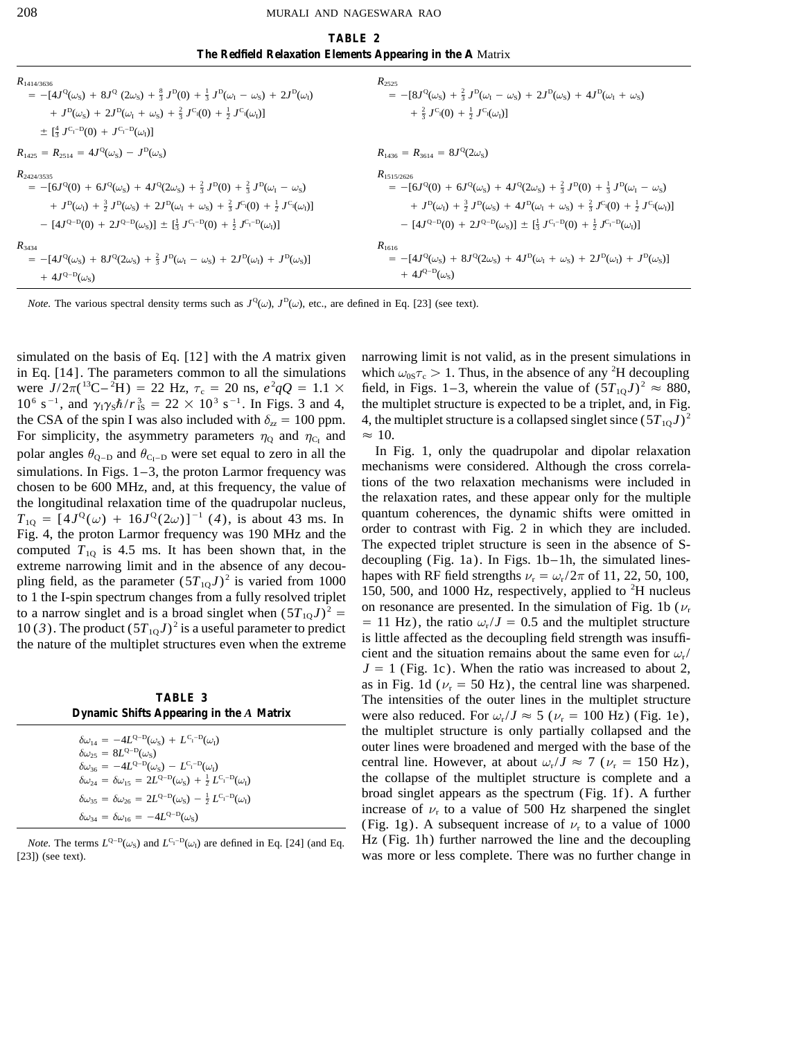| TABLE 2                                                    |
|------------------------------------------------------------|
| The Redfield Relaxation Elements Appearing in the A Matrix |
| $R_{2525}$                                                 |

| $R_{1414/3636}$                                                                                                                                                                                                                                                                                                                                                                                                                                      | $R_{2525}$                                                                                                                                                                                                                                                                                                                                                                                                                                           |
|------------------------------------------------------------------------------------------------------------------------------------------------------------------------------------------------------------------------------------------------------------------------------------------------------------------------------------------------------------------------------------------------------------------------------------------------------|------------------------------------------------------------------------------------------------------------------------------------------------------------------------------------------------------------------------------------------------------------------------------------------------------------------------------------------------------------------------------------------------------------------------------------------------------|
| $= -[4J^{\rm Q}(\omega_{\rm S}) + 8J^{\rm Q}(2\omega_{\rm S}) + \frac{8}{3}J^{\rm D}(0) + \frac{1}{3}J^{\rm D}(\omega_{\rm I} - \omega_{\rm S}) + 2J^{\rm D}(\omega_{\rm I})$                                                                                                                                                                                                                                                                        | $= -[8J^{\rm Q}(\omega_{\rm S}) + \frac{2}{3}J^{\rm D}(\omega_{\rm I} - \omega_{\rm S}) + 2J^{\rm D}(\omega_{\rm S}) + 4J^{\rm D}(\omega_{\rm I} + \omega_{\rm S})]$                                                                                                                                                                                                                                                                                 |
| $+ J^D(\omega_S) + 2J^D(\omega_I + \omega_S) + \frac{2}{3}J^{C_{I}}(0) + \frac{1}{2}J^{C_{I}}(\omega_I)$                                                                                                                                                                                                                                                                                                                                             | $+\frac{2}{3}J^{C_{I}}(0)+\frac{1}{2}J^{C_{I}}(\omega_{I})]$                                                                                                                                                                                                                                                                                                                                                                                         |
| $\pm \int_{\frac{1}{3}}^{4} J^{C_{1}-D}(0) + J^{C_{1}-D}(\omega_{I})$                                                                                                                                                                                                                                                                                                                                                                                |                                                                                                                                                                                                                                                                                                                                                                                                                                                      |
| $R_{1425} = R_{2514} = 4J^{\rm Q}(\omega_{\rm S}) - J^{\rm D}(\omega_{\rm S})$                                                                                                                                                                                                                                                                                                                                                                       | $R_{1436} = R_{3614} = 8J^{\rm Q}(2\omega_{\rm S})$                                                                                                                                                                                                                                                                                                                                                                                                  |
| $R_{2424/3535}$<br>$= -[6J^{\rm Q}(0) + 6J^{\rm Q}(\omega_{\rm S}) + 4J^{\rm Q}(2\omega_{\rm S}) + \frac{2}{3}J^{\rm D}(0) + \frac{2}{3}J^{\rm D}(\omega_{\rm I} - \omega_{\rm S})]$<br>+ $J^D(\omega_I)$ + $\frac{3}{2}$ $J^D(\omega_S)$ + $2J^D(\omega_I + \omega_S)$ + $\frac{2}{3}$ $J^{C_i}(0)$ + $\frac{1}{2}$ $J^{C_i}(\omega_I)$ ]<br>$-[4J^{Q-D}(0) + 2J^{Q-D}(\omega_S)] \pm [\frac{1}{3} J^{C_I-D}(0) + \frac{1}{2} J^{C_I-D}(\omega_I)]$ | $R_{1515/2626}$<br>$= -[6J^{\rm Q}(0) + 6J^{\rm Q}(\omega_{\rm S}) + 4J^{\rm Q}(2\omega_{\rm S}) + \frac{2}{3}J^{\rm D}(0) + \frac{1}{3}J^{\rm D}(\omega_{\rm I} - \omega_{\rm S})]$<br>+ $J^D(\omega_1)$ + $\frac{3}{2}$ $J^D(\omega_5)$ + $4J^D(\omega_1 + \omega_5)$ + $\frac{2}{3}$ $J^{C_i}(0)$ + $\frac{1}{2}$ $J^{C_i}(\omega_i)$ ]<br>$-[4J^{Q-D}(0) + 2J^{Q-D}(\omega_S)] \pm [\frac{1}{3} J^{C_I-D}(0) + \frac{1}{2} J^{C_I-D}(\omega_I)]$ |
| $R_{3434}$<br>$= -[4J^{\rm Q}(\omega_{\rm S}) + 8J^{\rm Q}(2\omega_{\rm S}) + \frac{2}{3}J^{\rm D}(\omega_{\rm I} - \omega_{\rm S}) + 2J^{\rm D}(\omega_{\rm I}) + J^{\rm D}(\omega_{\rm S})]$<br>+ $4J^{\text{Q-D}}(\omega_s)$                                                                                                                                                                                                                      | $R_{1616}$<br>$= -[4J^{\rm Q}(\omega_{\rm S}) + 8J^{\rm Q}(2\omega_{\rm S}) + 4J^{\rm D}(\omega_{\rm I} + \omega_{\rm S}) + 2J^{\rm D}(\omega_{\rm I}) + J^{\rm D}(\omega_{\rm S})]$<br>+ $4J^{\text{Q-D}}(\omega_{\text{S}})$                                                                                                                                                                                                                       |

*Note.* The various spectral density terms such as  $J^{\circ}(\omega)$ ,  $J^{\circ}(\omega)$ , etc., are defined in Eq. [23] (see text).

in Eq. [14]. The parameters common to all the simulations which  $\omega_{.05\tau_{\rm c}} > 1$ . Thus, in the absence of any <sup>2</sup>H decoupling were  $J/2\pi(^{13}\text{C} - {}^{2}\text{H}) = 22 \text{ Hz}, \tau_c = 20 \text{ ns}, e^2$  $10^6$  s<sup>-1</sup>, and  $\gamma_1 \gamma_5 \hbar / r_{1S}^3 = 22 \times 10^3$  s<sup>-1</sup>. In Figs. 3 and 4, the multiplet structure is expected to be a triplet, and, in Fig. the CSA of the spin I was also included with  $\delta_{zz} = 100$  ppm. 4, the multiplet structure is a collapsed singlet since  $(5T_{10}J)^2$ For simplicity, the asymmetry parameters  $\eta_{\text{Q}}$  and  $\eta_{\text{C}_{I}}$  and  $\approx 10$ . polar angles  $\theta_{Q-D}$  and  $\theta_{C_1-D}$  were set equal to zero in all the  $\theta_{Q-D}$  and upolar relaxation  $\theta_{Q-D}$  and  $\theta_{C_1-D}$  were set equal to zero in all the  $\theta_{Q-D}$  and  $\theta_{Q-D}$  and  $\theta_{Q-D}$  are set equal to zero in a simulations. In Figs. 1–3, the proton Larmor frequency was mechanisms were considered. Although the cross correla-<br>chosen to be 600 MHz, and, at this frequency, the value of the two relaxation mechanisms were included in<br>

| $\delta\omega_{14} = -4L^{Q-D}(\omega_S) + L^{C_I-D}(\omega_I)$                                                                                       |
|-------------------------------------------------------------------------------------------------------------------------------------------------------|
| $\delta\omega_{25} = 8L^{\text{Q-D}}(\omega_{\text{S}})$                                                                                              |
| $\delta\omega_{36} = -4L^{Q-D}(\omega_S) - L^{C_1-D}(\omega_I)$                                                                                       |
| $\delta\omega_{24} = \delta\omega_{15} = 2L^{Q-D}(\omega_S) + \frac{1}{2}L^{C_1-D}(\omega_I)$                                                         |
| $\delta\omega_{35} = \delta\omega_{26} = 2L^{\text{Q}-\text{D}}(\omega_{\text{S}}) - \frac{1}{2} L^{\text{C}_{\text{I}}-\text{D}}(\omega_{\text{I}})$ |
| $\delta\omega_{34} = \delta\omega_{16} = -4L^{Q-D}(\omega_{\rm S})$                                                                                   |

simulated on the basis of Eq. [12] with the *A* matrix given narrowing limit is not valid, as in the present simulations in field, in Figs. 1–3, wherein the value of  $(5T_{10}J)^2 \approx 880$ ,

150, 500, and 1000 Hz, respectively, applied to  ${}^{2}$ H nucleus to 1 the I-spin spectrum changes from a fully resolved triplet<br>to a narrow singlet and is a broad singlet when  $(5T_{1Q}J)^2$  =<br>10(3). The product  $(5T_{1Q}J)^2$  is a useful parameter to predict<br>the nature of the multiplet st  $J = 1$  (Fig. 1c). When the ratio was increased to about 2, as in Fig. 1d ( $\nu$ <sub>r</sub> = 50 Hz), the central line was sharpened. **TABLE 3** The intensities of the outer lines in the multiplet structure<br>Dynamic Shifts Appearing in the A Matrix were also reduced. For  $\omega / J \approx 5$  ( $\nu = 100$  Hz) (Fig. 1e). were also reduced. For  $\omega_r / J \approx 5$  ( $\nu_r = 100$  Hz) (Fig. 1e), the multiplet structure is only partially collapsed and the outer lines were broadened and merged with the base of the central line. However, at about  $\omega_r/J \approx 7$  ( $\nu_r = 150$  Hz), the collapse of the multiplet structure is complete and a broad singlet appears as the spectrum (Fig. 1f). A further increase of  $\nu$ <sub>r</sub> to a value of 500 Hz sharpened the singlet (Fig. 1g). A subsequent increase of  $\nu$ <sub>r</sub> to a value of 1000 *Note.* The terms  $L^{Q-D}(\omega_S)$  and  $L^{C_1-D}(\omega_I)$  are defined in Eq. [24] (and Eq. Hz (Fig. 1h) further narrowed the line and the decoupling [23]) (see text). was more or less complete. There was no further change in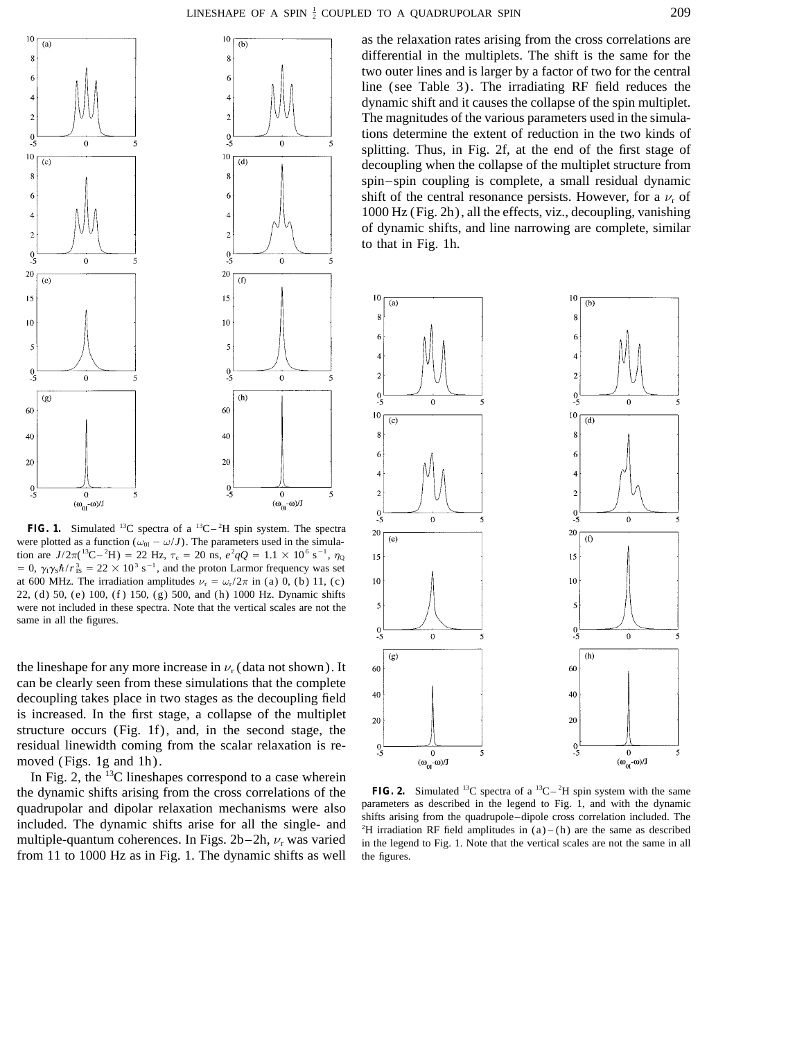

**FIG. 1.** Simulated <sup>13</sup>C spectra of a <sup>13</sup>C $-$ <sup>2</sup>H spin system. The spectra were plotted as a function ( $\omega_{0I} - \omega/J$ ). The parameters used in the simulation are  $J/2\pi$ <sup>(13</sup>C-<sup>2</sup>H) = 22 Hz,  $\tau_c$  = 20 ns,  $e^2qQ = 1.1 \times 10^6$  s<sup>-1</sup>,  $\eta_Q$  $= 0$ ,  $\gamma_1 \gamma_5 \hbar / r_{1S}^3 = 22 \times 10^3 \text{ s}^{-1}$ , and the proton Larmor frequency was set at 600 MHz. The irradiation amplitudes  $\nu_r = \omega_r/2\pi$  in (a) 0, (b) 11, (c) 22, (d) 50, (e) 100, (f ) 150, (g) 500, and (h) 1000 Hz. Dynamic shifts were not included in these spectra. Note that the vertical scales are not the same in all the figures.

the lineshape for any more increase in  $\nu_r$  (data not shown). It can be clearly seen from these simulations that the complete decoupling takes place in two stages as the decoupling field is increased. In the first stage, a collapse of the multiplet structure occurs (Fig. 1f), and, in the second stage, the residual linewidth coming from the scalar relaxation is removed (Figs. 1g and 1h).

In Fig. 2, the  $^{13}$ C lineshapes correspond to a case wherein the dynamic shifts arising from the cross correlations of the **FIG. 2.** Simulated <sup>13</sup>C spectra of a <sup>13</sup>C -<sup>2</sup>H spin system with the same quadrupolar and dipolar relaxation mechanisms were also parameters as described in quadrupolar and dipolar relaxation mechanisms were also<br>included. The dynamic shifts arise for all the single- and<br><sup>2</sup>H irradiation RF field amplitudes in (a)–(h) are the same as described<br>and  $\frac{1}{2}$  arises for all the multiple-quantum coherences. In Figs.  $2b-2h$ ,  $\nu_r$  was varied in the legend to Fig. 1. Note that the vertical scales are not the same in all from 11 to 1000 Hz as in Fig. 1. The dynamic shifts as well the figures.

as the relaxation rates arising from the cross correlations are differential in the multiplets. The shift is the same for the two outer lines and is larger by a factor of two for the central line (see Table 3). The irradiating RF field reduces the dynamic shift and it causes the collapse of the spin multiplet. The magnitudes of the various parameters used in the simulations determine the extent of reduction in the two kinds of splitting. Thus, in Fig. 2f, at the end of the first stage of decoupling when the collapse of the multiplet structure from spin–spin coupling is complete, a small residual dynamic shift of the central resonance persists. However, for a  $\nu$ <sub>r</sub> of 1000 Hz (Fig. 2h), all the effects, viz., decoupling, vanishing of dynamic shifts, and line narrowing are complete, similar to that in Fig. 1h.



**FIG. 2.** Simulated <sup>13</sup>C spectra of a <sup>13</sup>C – <sup>2</sup>H spin system with the same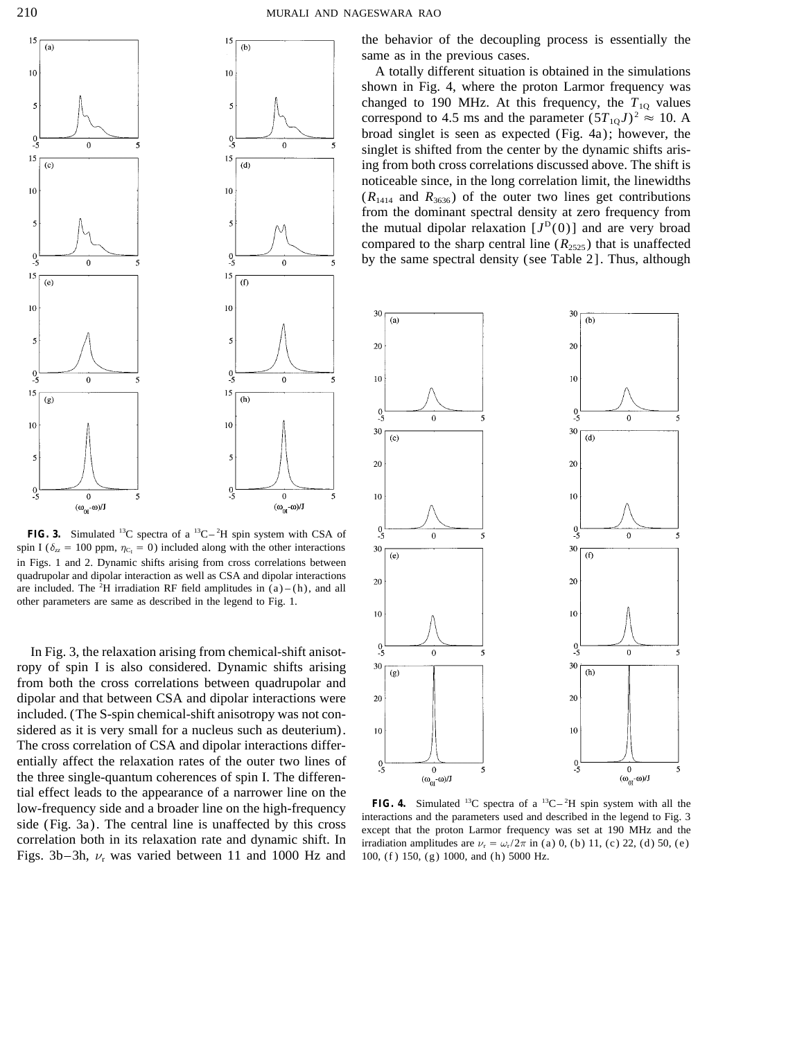

**FIG. 3.** Simulated <sup>13</sup>C spectra of a <sup>13</sup>C $-$ <sup>2</sup>H spin system with CSA of spin I ( $\delta_{zz}$  = 100 ppm,  $\eta_{C_1}$  = 0) included along with the other interactions in Figs. 1 and 2. Dynamic shifts arising from cross correlations between quadrupolar and dipolar interaction as well as CSA and dipolar interactions are included. The <sup>2</sup>H irradiation RF field amplitudes in  $(a) - (h)$ , and all other parameters are same as described in the legend to Fig. 1.

In Fig. 3, the relaxation arising from chemical-shift anisotropy of spin I is also considered. Dynamic shifts arising from both the cross correlations between quadrupolar and dipolar and that between CSA and dipolar interactions were included. (The S-spin chemical-shift anisotropy was not considered as it is very small for a nucleus such as deuterium). The cross correlation of CSA and dipolar interactions differentially affect the relaxation rates of the outer two lines of the three single-quantum coherences of spin I. The differential effect leads to the appearance of a narrower line on the low-frequency side and a broader line on the high-frequency<br>side (Fig. 3a). The central line is unaffected by this cross<br>correlation and the parameters used and described in the legend to Fig. 3<br>correlation both in its re Figs. 3b–3h,  $\nu_r$  was varied between 11 and 1000 Hz and 100, (f) 150, (g) 1000, and (h) 5000 Hz.

the behavior of the decoupling process is essentially the same as in the previous cases.

A totally different situation is obtained in the simulations shown in Fig. 4, where the proton Larmor frequency was changed to 190 MHz. At this frequency, the  $T_{1Q}$  values correspond to 4.5 ms and the parameter  $(5T_{10}J)^2 \approx 10$ . A broad singlet is seen as expected (Fig. 4a); however, the singlet is shifted from the center by the dynamic shifts arising from both cross correlations discussed above. The shift is noticeable since, in the long correlation limit, the linewidths  $(R_{1414}$  and  $R_{3636}$ ) of the outer two lines get contributions from the dominant spectral density at zero frequency from the mutual dipolar relaxation  $[J<sup>D</sup>(0)]$  and are very broad compared to the sharp central line  $(R_{2525})$  that is unaffected by the same spectral density (see Table 2]. Thus, although



**FIG. 4.** Simulated <sup>13</sup>C spectra of a <sup>13</sup>C-<sup>2</sup>H spin system with all the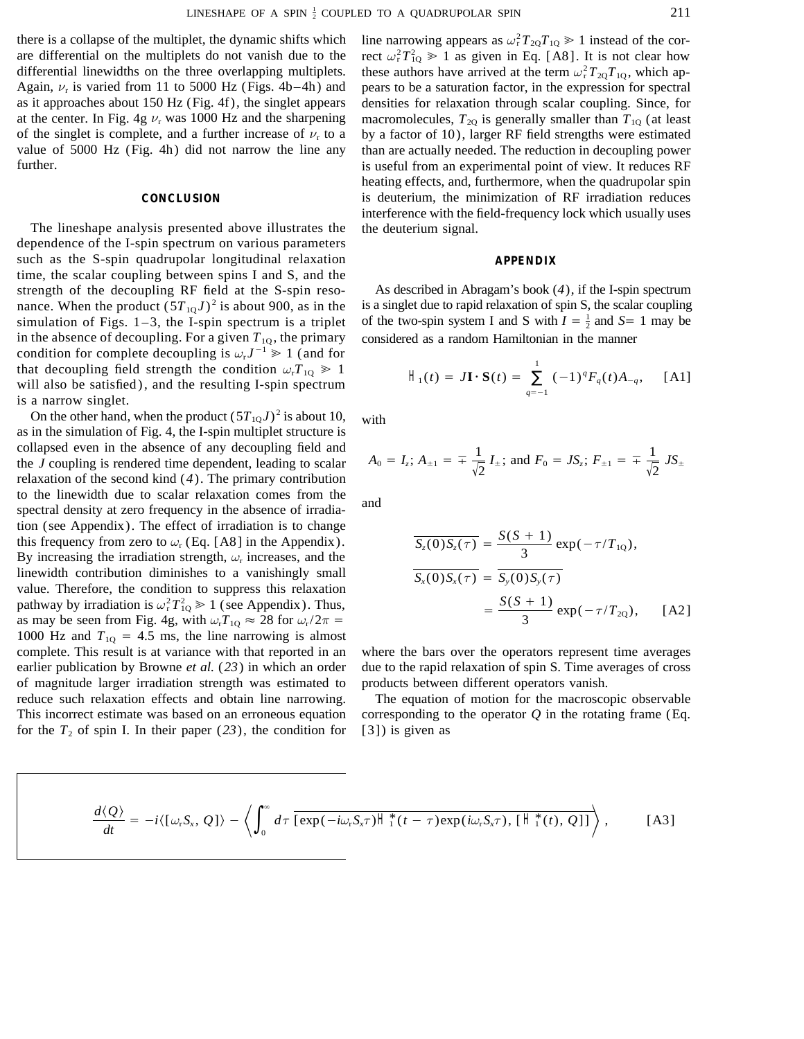there is a collapse of the multiplet, the dynamic shifts which are differential on the multiplets do not vanish due to the differential linewidths on the three overlapping multiplets. Again,  $\nu_r$  is varied from 11 to 5000 Hz (Figs. 4b–4h) and pears to be a saturation factor, in the expression for spectral as it approaches about 150 Hz (Fig. 4f), the singlet appears densities for relaxation through scalar coupling. Since, for at the center. In Fig. 4g  $\nu$ <sub>r</sub> was 1000 Hz and the sharpening macromolecules,  $T_{2Q}$  is generally smaller than  $T_{1Q}$  (at least of the singlet is complete, and a further increase of  $\nu_r$  to a by a factor of 10), larger RF field strengths were estimated value of 5000 Hz (Fig. 4h) did not narrow the line any than are actually needed. The reduction in decoupling power further. is useful from an experimental point of view. It reduces RF

The lineshape analysis presented above illustrates the the deuterium signal. dependence of the I-spin spectrum on various parameters such as the S-spin quadrupolar longitudinal relaxation **APPENDIX** time, the scalar coupling between spins I and S, and the strength of the decoupling RF field at the S-spin reso- As described in Abragam's book (*4*), if the I-spin spectrum nance. When the product  $(5T_{10}J)^2$  is about 900, as in the is a singlet due to rapid relaxation of spin S, the scalar coupling in the absence of decoupling. For a given  $T_{10}$ , the primary considered as a random Hamiltonian in the manner condition for complete decoupling is  $\omega_r J^{-1} \ge 1$  (and for that decoupling field strength the condition  $\omega_r T_{10} \geq 1$ will also be satisfied), and the resulting I-spin spectrum is a narrow singlet.

On the other hand, when the product  $(5T_{1Q}J)^2$  is about 10, with as in the simulation of Fig. 4, the I-spin multiplet structure is collapsed even in the absence of any decoupling field and the *J* coupling is rendered time dependent, leading to scalar relaxation of the second kind (*4*). The primary contribution to the linewidth due to scalar relaxation comes from the spectral density at zero frequency in the absence of irradiation (see Appendix). The effect of irradiation is to change this frequency from zero to  $\omega_r$  (Eq. [A8] in the Appendix). By increasing the irradiation strength,  $\omega_r$  increases, and the linewidth contribution diminishes to a vanishingly small value. Therefore, the condition to suppress this relaxation pathway by irradiation is  $\omega_r^2 T_{1Q}^2 \ge 1$  (see Appendix). Thus,  $= \frac{S(S+1)}{S(S+1)}$ as may be seen from Fig. 4g, with  $\omega_rT_{1Q} \approx 28$  for  $\omega_r/2\pi =$ 1000 Hz and  $T_{1Q} = 4.5$  ms, the line narrowing is almost complete. This result is at variance with that reported in an where the bars over the operators represent time averages earlier publication by Browne *et al.* (*23*) in which an order due to the rapid relaxation of spin S. Time averages of cross of magnitude larger irradiation strength was estimated to products between different operators vanish. reduce such relaxation effects and obtain line narrowing. The equation of motion for the macroscopic observable This incorrect estimate was based on an erroneous equation corresponding to the operator *Q* in the rotating frame (Eq. for the  $T_2$  of spin I. In their paper (23), the condition for [3]) is given as

line narrowing appears as  $\omega_r^2 T_{2Q} T_{1Q} \ge 1$  instead of the cor- $_{\rm r}^{2}T_{1Q}^{2} \ge 1$  as given in Eq. [A8]. It is not clear how these authors have arrived at the term  $\omega_r^2 T_{2Q} T_{1Q}$ , which apheating effects, and, furthermore, when the quadrupolar spin **CONCLUSION** is deuterium, the minimization of RF irradiation reduces interference with the field-frequency lock which usually uses

simulation of Figs. 1–3, the I-spin spectrum is a triplet of the two-spin system I and S with  $I = \frac{1}{2}$  and  $S = 1$  may be

$$
H_1(t) = J\mathbf{I} \cdot \mathbf{S}(t) = \sum_{q=-1}^{1} (-1)^q F_q(t) A_{-q}, \quad [A1]
$$

$$
A_0 = I_z
$$
;  $A_{\pm 1} = \pm \frac{1}{\sqrt{2}} I_{\pm}$ ; and  $F_0 = JS_z$ ;  $F_{\pm 1} = \pm \frac{1}{\sqrt{2}} JS_{\pm}$ 

$$
\overline{S_z(0)S_z(\tau)} = \frac{S(S+1)}{3} \exp(-\tau/T_{1Q}),
$$
  

$$
\overline{S_x(0)S_x(\tau)} = \overline{S_y(0)S_y(\tau)}
$$
  

$$
= \frac{S(S+1)}{3} \exp(-\tau/T_{2Q}), \quad [A2]
$$

$$
\frac{d\langle Q\rangle}{dt} = -i\langle[\omega_rS_x, Q]\rangle - \left\langle \int_0^\infty d\tau \overline{[\exp(-i\omega_rS_x\tau)]^*[(t-\tau)\exp(i\omega_rS_x\tau), [\square]^*[(t), Q]]} \right\rangle, \quad [A3]
$$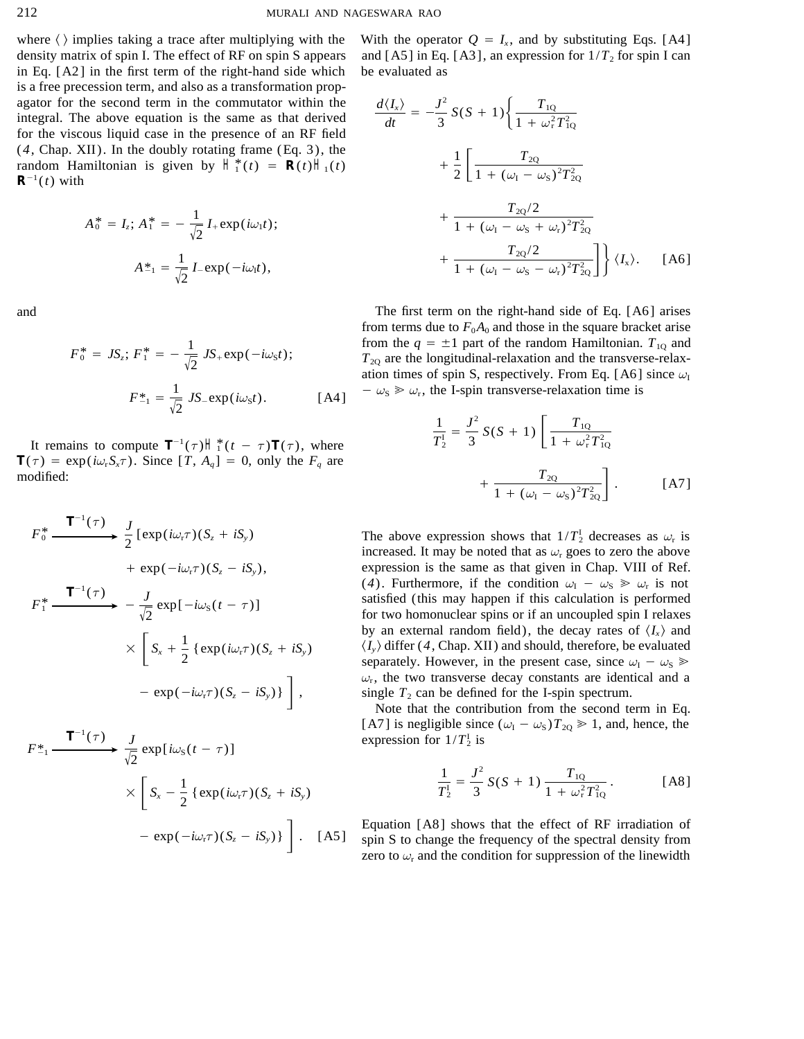density matrix of spin I. The effect of RF on spin S appears and [A5] in Eq. [A3], an expression for  $1/T<sub>2</sub>$  for spin I can in Eq. [A2] in the first term of the right-hand side which be evaluated as is a free precession term, and also as a transformation propagator for the second term in the commutator within the  $\frac{a}{2}$ integral. The above equation is the same as that derived for the viscous liquid case in the presence of an RF field (*4*, Chap. XII). In the doubly rotating frame (Eq. 3), the random Hamiltonian is given by  $H_1^*(t) = R(t)H_1(t)$  $R^{-1}(t)$  with

$$
A_0^* = I_z; A_1^* = -\frac{1}{\sqrt{2}} I_+ \exp(i\omega_1 t);
$$
  

$$
A_{-1}^* = \frac{1}{\sqrt{2}} I_- \exp(-i\omega_1 t),
$$

$$
F_0^* = JS_z; F_1^* = -\frac{1}{\sqrt{2}} JS_+ \exp(-i\omega_S t);
$$
  

$$
F_{-1}^* = \frac{1}{\sqrt{2}} JS_- \exp(i\omega_S t).
$$
 [A4]

It remains to compute  $T^{-1}(\tau)H_1^*(t-\tau)T(\tau)$ , where  $T_2^1 = 3$   $\left[1 + \omega_r^2 T_{1Q}^2\right]$  $T(\tau) = \exp(i\omega_r S_x \tau)$ . Since  $[T, A_q] = 0$ , only the  $F_q$  are  $\blacksquare$  modified:  $\blacksquare$  +

$$
F_0^* \xrightarrow{\text{T}^{-1}(\tau)} \frac{J}{2} \left[ \exp(i\omega_r \tau)(S_z + iS_y) + \exp(-i\omega_r \tau)(S_z - iS_y), \right.
$$
  

$$
F_1^* \xrightarrow{\text{T}^{-1}(\tau)} - \frac{J}{\sqrt{2}} \exp[-i\omega_s(t - \tau)] \times \left[ S_x + \frac{1}{2} \left\{ \exp(i\omega_r \tau)(S_z + iS_y) - \exp(-i\omega_r \tau)(S_z - iS_y) \right\} \right],
$$

$$
F_{-1}^* \xrightarrow{\mathsf{T}^{-1}(\tau)} \frac{J}{\sqrt{2}} \exp[i\omega_s(t-\tau)]
$$
  
 
$$
\times \left[ S_x - \frac{1}{2} \left\{ \exp(i\omega_r \tau)(S_z + iS_y) - \exp(-i\omega_r \tau)(S_z - iS_y) \right\} \right].
$$
 [A5]

where  $\langle \rangle$  implies taking a trace after multiplying with the With the operator  $Q = I_x$ , and by substituting Eqs. [A4]

The second term in the commutator within the  
\ne above equation is the same as that derived  
\n
$$
\frac{d\langle I_x \rangle}{dt} = -\frac{J^2}{3} S(S+1) \left\{ \frac{T_{1Q}}{1 + \omega_r^2 T_{1Q}^2} \right\}
$$
\n
$$
\frac{d\langle I_x \rangle}{1 + \omega_r^2 T_{1Q}^2}
$$
\nThis implies that derived  
\n
$$
\frac{d\langle I_x \rangle}{dt} = -\frac{J^2}{3} S(S+1) \left\{ \frac{T_{1Q}}{1 + \omega_r^2 T_{1Q}^2} + \frac{T_{2Q}}{1 + (\omega_l - \omega_s)^2 T_{2Q}^2} \right\}
$$
\n
$$
= -\frac{1}{3} I_+ \exp(i\omega_l t); \qquad \frac{T_{2Q}}{1 + (\omega_l - \omega_s + \omega_r)^2 T_{2Q}^2} + \frac{T_{2Q}}{1 + (\omega_l - \omega_s + \omega_r)^2 T_{2Q}^2} + \frac{T_{2Q}}{1 + (\omega_l - \omega_s - \omega_r)^2 T_{2Q}^2} \left\{ \langle I_x \rangle . \quad [A6]
$$

and The first term on the right-hand side of Eq. [A6] arises from terms due to  $F_0A_0$  and those in the square bracket arise from the  $q = \pm 1$  part of the random Hamiltonian.  $T_{10}$  and  $T_{20}$  are the longitudinal-relaxation and the transverse-relaxation times of spin S, respectively. From Eq. [A6] since  $\omega_I$  $-\omega_s \geq \omega_r$ , the I-spin transverse-relaxation time is

$$
\frac{1}{T_2^1} = \frac{J^2}{3} S(S+1) \left[ \frac{T_{1Q}}{1 + \omega_r^2 T_{1Q}^2} + \frac{T_{2Q}}{1 + (\omega_I - \omega_S)^2 T_{2Q}^2} \right].
$$
 [A7]

The above expression shows that  $1/T_2^1$  decreases as  $\omega_r$  is increased. It may be noted that as  $\omega_r$  goes to zero the above expression is the same as that given in Chap. VIII of Ref. (4). Furthermore, if the condition  $\omega_I - \omega_S \gg \omega_r$  is not satisfied (this may happen if this calculation is performed for two homonuclear spins or if an uncoupled spin I relaxes by an external random field), the decay rates of  $\langle I_{x} \rangle$  and  $\langle I_{\rm v} \rangle$  differ (4, Chap. XII) and should, therefore, be evaluated separately. However, in the present case, since  $\omega_I - \omega_S \geq$  $\omega_{\rm r}$ , the two transverse decay constants are identical and a single  $T_2$  can be defined for the I-spin spectrum.

Note that the contribution from the second term in Eq. [A7] is negligible since  $(\omega_I - \omega_S)T_{2Q} \ge 1$ , and, hence, the expression for  $1/T_2^1$  is

$$
\frac{1}{T_2^1} = \frac{J^2}{3} S(S+1) \frac{T_{1Q}}{1 + \omega_r^2 T_{1Q}^2}.
$$
 [A8]

Equation [A8] shows that the effect of RF irradiation of spin S to change the frequency of the spectral density from zero to  $\omega_r$  and the condition for suppression of the linewidth